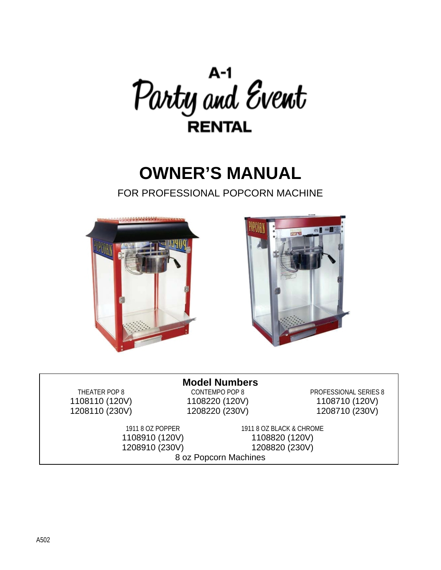

# **OWNER'S MANUAL**

FOR PROFESSIONAL POPCORN MACHINE





## **Model Numbers**<br>CONTEMPO POP 8

THEATER POP 8 CONTEMPO POP 8 PROFESSIONAL SERIES 8 1108110 (120V) 1108220 (120V) 1108710 (120V) 1208110 (230V) 1208220 (230V) 1208710 (230V)

1911 8 OZ POPPER 1911 8 OZ BLACK & CHROME 1108910 (120V) 1108820 (120V) 1208910 (230V) 1208820 (230V) 8 oz Popcorn Machines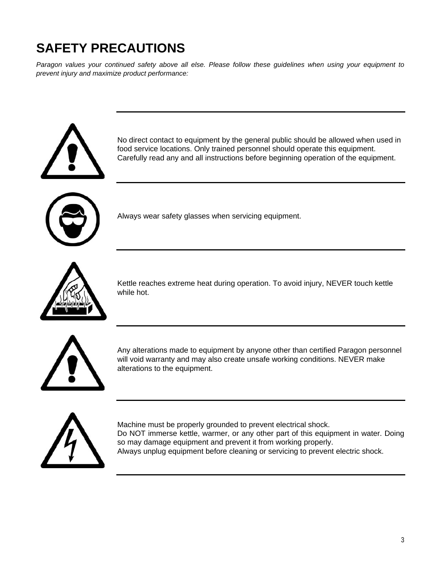## **SAFETY PRECAUTIONS**

*Paragon values your continued safety above all else. Please follow these guidelines when using your equipment to prevent injury and maximize product performance:* 



No direct contact to equipment by the general public should be allowed when used in food service locations. Only trained personnel should operate this equipment. Carefully read any and all instructions before beginning operation of the equipment.



Always wear safety glasses when servicing equipment.



Kettle reaches extreme heat during operation. To avoid injury, NEVER touch kettle while hot.



Any alterations made to equipment by anyone other than certified Paragon personnel will void warranty and may also create unsafe working conditions. NEVER make alterations to the equipment.



Machine must be properly grounded to prevent electrical shock. Do NOT immerse kettle, warmer, or any other part of this equipment in water. Doing so may damage equipment and prevent it from working properly. Always unplug equipment before cleaning or servicing to prevent electric shock.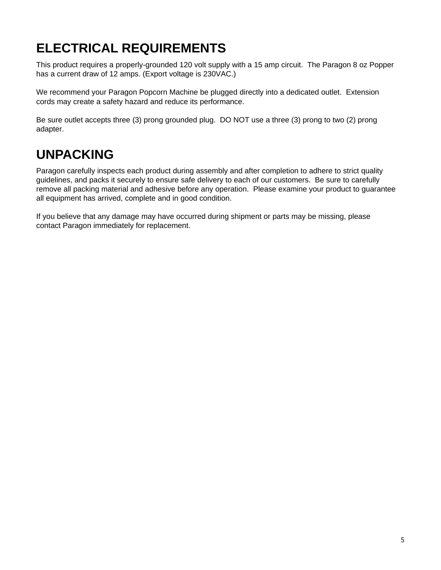## **ELECTRICAL REQUIREMENTS**

This product requires a properly-grounded 120 volt supply with a 15 amp circuit. The Paragon 8 oz Popper has a current draw of 12 amps. (Export voltage is 230VAC.)

We recommend your Paragon Popcorn Machine be plugged directly into a dedicated outlet. Extension cords may create a safety hazard and reduce its performance.

Be sure outlet accepts three (3) prong grounded plug. DO NOT use a three (3) prong to two (2) prong adapter.

### **UNPACKING**

Paragon carefully inspects each product during assembly and after completion to adhere to strict quality guidelines, and packs it securely to ensure safe delivery to each of our customers. Be sure to carefully remove all packing material and adhesive before any operation. Please examine your product to guarantee all equipment has arrived, complete and in good condition.

If you believe that any damage may have occurred during shipment or parts may be missing, please contact Paragon immediately for replacement.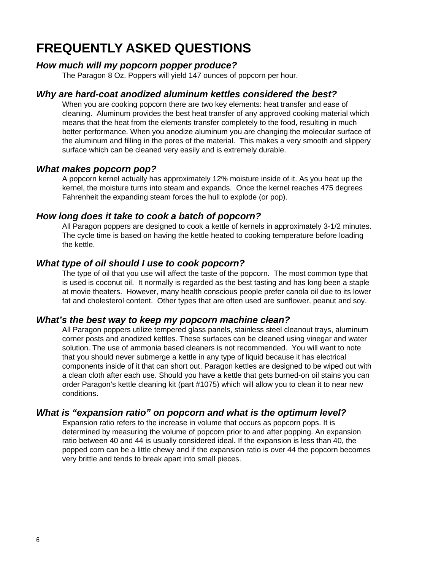### **FREQUENTLY ASKED QUESTIONS**

#### *How much will my popcorn popper produce?*

The Paragon 8 Oz. Poppers will yield 147 ounces of popcorn per hour.

#### *Why are hard-coat anodized aluminum kettles considered the best?*

When you are cooking popcorn there are two key elements: heat transfer and ease of cleaning. Aluminum provides the best heat transfer of any approved cooking material which means that the heat from the elements transfer completely to the food, resulting in much better performance. When you anodize aluminum you are changing the molecular surface of the aluminum and filling in the pores of the material. This makes a very smooth and slippery surface which can be cleaned very easily and is extremely durable.

#### *What makes popcorn pop?*

A popcorn kernel actually has approximately 12% moisture inside of it. As you heat up the kernel, the moisture turns into steam and expands. Once the kernel reaches 475 degrees Fahrenheit the expanding steam forces the hull to explode (or pop).

#### *How long does it take to cook a batch of popcorn?*

All Paragon poppers are designed to cook a kettle of kernels in approximately 3-1/2 minutes. The cycle time is based on having the kettle heated to cooking temperature before loading the kettle.

#### *What type of oil should I use to cook popcorn?*

The type of oil that you use will affect the taste of the popcorn. The most common type that is used is coconut oil. It normally is regarded as the best tasting and has long been a staple at movie theaters. However, many health conscious people prefer canola oil due to its lower fat and cholesterol content. Other types that are often used are sunflower, peanut and soy.

#### *What's the best way to keep my popcorn machine clean?*

All Paragon poppers utilize tempered glass panels, stainless steel cleanout trays, aluminum corner posts and anodized kettles. These surfaces can be cleaned using vinegar and water solution. The use of ammonia based cleaners is not recommended. You will want to note that you should never submerge a kettle in any type of liquid because it has electrical components inside of it that can short out. Paragon kettles are designed to be wiped out with a clean cloth after each use. Should you have a kettle that gets burned-on oil stains you can order Paragon's kettle cleaning kit (part #1075) which will allow you to clean it to near new conditions.

#### *What is "expansion ratio" on popcorn and what is the optimum level?*

Expansion ratio refers to the increase in volume that occurs as popcorn pops. It is determined by measuring the volume of popcorn prior to and after popping. An expansion ratio between 40 and 44 is usually considered ideal. If the expansion is less than 40, the popped corn can be a little chewy and if the expansion ratio is over 44 the popcorn becomes very brittle and tends to break apart into small pieces.